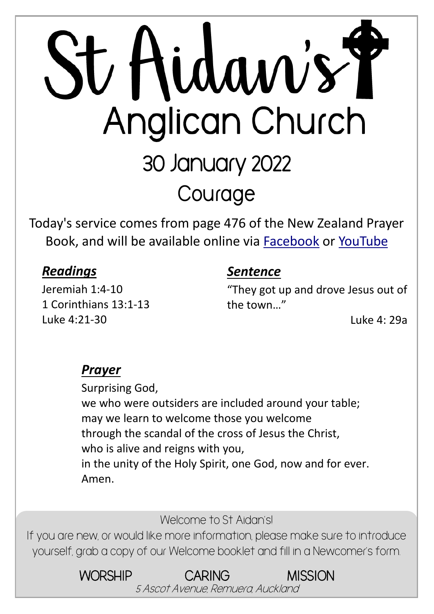# St Hidaw's Y Anglican Church 30 January 2022 **Courage**

Today's service comes from page 476 of the New Zealand Prayer Book, and will be available online via **[Facebook](https://www.facebook.com/StAidansRemuera/)** or [YouTube](https://www.youtube.com/channel/UCp1KTUD3GRs20GGAFeAZ7fQ)

#### *Readings*

Jeremiah 1:4-10 1 Corinthians 13:1-13 Luke 4:21-30

#### *Sentence*

"They got up and drove Jesus out of the town…"

Luke 4: 29a

#### *Prayer*

Surprising God, we who were outsiders are included around your table; may we learn to welcome those you welcome through the scandal of the cross of Jesus the Christ, who is alive and reigns with you, in the unity of the Holy Spirit, one God, now and for ever. Amen.

Welcome to St Aidan's!

If you are new, or would like more information, please make sure to introduce yourself, grab a copy of our Welcome booklet and fill in a Newcomer's form.

> WORSHIP CARING MISSION 5 Ascot Avenue, Remuera, Auckland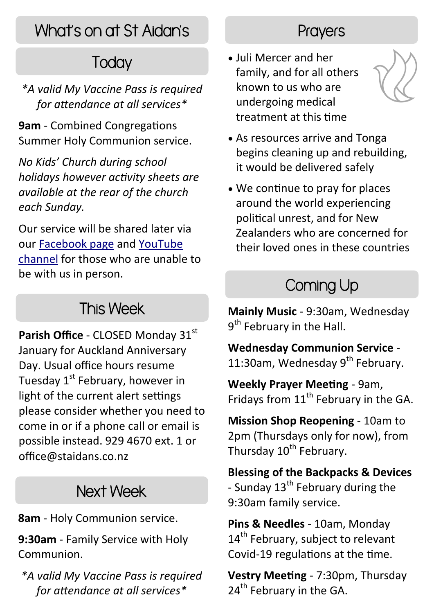# What's on at St Aidan's

# **Today**

*\*A valid My Vaccine Pass is required for attendance at all services\**

**9am** - Combined Congregations Summer Holy Communion service.

*No Kids' Church during school holidays however activity sheets are available at the rear of the church each Sunday.*

Our service will be shared later via our [Facebook page](https://www.facebook.com/StAidansRemuera/) and [YouTube](https://www.youtube.com/channel/UCp1KTUD3GRs20GGAFeAZ7fQ)  [channel](https://www.youtube.com/channel/UCp1KTUD3GRs20GGAFeAZ7fQ) for those who are unable to be with us in person.

#### This Week

Parish Office - CLOSED Monday 31<sup>st</sup> January for Auckland Anniversary Day. Usual office hours resume Tuesday  $1<sup>st</sup>$  February, however in light of the current alert settings please consider whether you need to come in or if a phone call or email is possible instead. 929 4670 ext. 1 or office@staidans.co.nz

## Next Week

**8am** - Holy Communion service.

**9:30am** - Family Service with Holy Communion.

*\*A valid My Vaccine Pass is required for attendance at all services\**

#### **Prayers**

 Juli Mercer and her family, and for all others known to us who are undergoing medical treatment at this time



- As resources arrive and Tonga begins cleaning up and rebuilding, it would be delivered safely
- We continue to pray for places around the world experiencing political unrest, and for New Zealanders who are concerned for their loved ones in these countries

# Coming Up

**Mainly Music** - 9:30am, Wednesday 9<sup>th</sup> February in the Hall.

**Wednesday Communion Service** - 11:30am, Wednesday 9<sup>th</sup> February.

**Weekly Prayer Meeting** - 9am, Fridays from  $11<sup>th</sup>$  February in the GA.

**Mission Shop Reopening** - 10am to 2pm (Thursdays only for now), from Thursday 10<sup>th</sup> February.

**Blessing of the Backpacks & Devices**  - Sunday  $13^{th}$  February during the 9:30am family service.

**Pins & Needles** - 10am, Monday 14<sup>th</sup> February, subject to relevant Covid-19 regulations at the time.

**Vestry Meeting** - 7:30pm, Thursday  $24<sup>th</sup>$  February in the GA.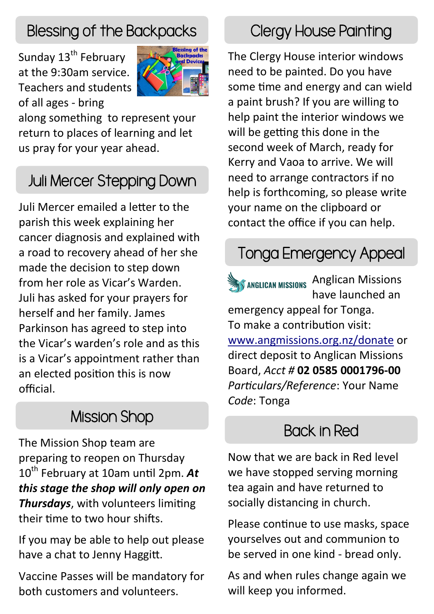### Blessing of the Backpacks

Sunday 13<sup>th</sup> February at the 9:30am service. Teachers and students of all ages - bring



along something to represent your return to places of learning and let us pray for your year ahead.

## Juli Mercer Stepping Down

Juli Mercer emailed a letter to the parish this week explaining her cancer diagnosis and explained with a road to recovery ahead of her she made the decision to step down from her role as Vicar's Warden. Juli has asked for your prayers for herself and her family. James Parkinson has agreed to step into the Vicar's warden's role and as this is a Vicar's appointment rather than an elected position this is now official.

# Mission Shop

The Mission Shop team are preparing to reopen on Thursday 10th February at 10am until 2pm. *At this stage the shop will only open on Thursdays*, with volunteers limiting their time to two hour shifts.

If you may be able to help out please have a chat to Jenny Haggitt.

Vaccine Passes will be mandatory for both customers and volunteers.

# Clergy House Painting

The Clergy House interior windows need to be painted. Do you have some time and energy and can wield a paint brush? If you are willing to help paint the interior windows we will be getting this done in the second week of March, ready for Kerry and Vaoa to arrive. We will need to arrange contractors if no help is forthcoming, so please write your name on the clipboard or contact the office if you can help.

# Tonga Emergency Appeal

**SANGLICAN MISSIONS** Anglican Missions have launched an emergency appeal for Tonga. To make a contribution visit: [www.angmissions.org.nz/donate](https://angmissions.org.nz/donate) or direct deposit to Anglican Missions Board, *Acct #* **02 0585 0001796-00** *Particulars/Reference*: Your Name *Code*: Tonga

#### Back in Red

Now that we are back in Red level we have stopped serving morning tea again and have returned to socially distancing in church.

Please continue to use masks, space yourselves out and communion to be served in one kind - bread only.

As and when rules change again we will keep you informed.